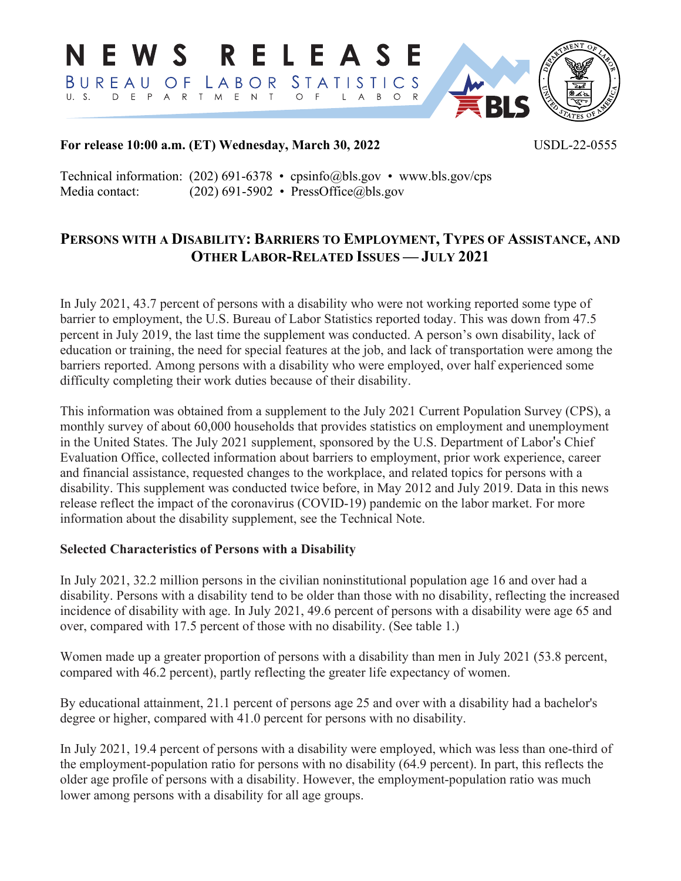RELEASE N E W S BUREAU **STATISTICS** LABOR OF D E P A R T M E N T  $U - S$ .  $O$  F  $\mathsf{L}$  $O$  R **BLS** 

## **For release 10:00 a.m. (ET) Wednesday, March 30, 2022** USDL-22-0555

Technical information: (202) 691-6378 • cpsinfo@bls.gov • www.bls.gov/cps Media contact: (202) 691-5902 • PressOffice@bls.gov

# **PERSONS WITH A DISABILITY: BARRIERS TO EMPLOYMENT, TYPES OF ASSISTANCE, AND OTHER LABOR-RELATED ISSUES — JULY 2021**

In July 2021, 43.7 percent of persons with a disability who were not working reported some type of barrier to employment, the U.S. Bureau of Labor Statistics reported today. This was down from 47.5 percent in July 2019, the last time the supplement was conducted. A person's own disability, lack of education or training, the need for special features at the job, and lack of transportation were among the barriers reported. Among persons with a disability who were employed, over half experienced some difficulty completing their work duties because of their disability.

This information was obtained from a supplement to the July 2021 Current Population Survey (CPS), a monthly survey of about 60,000 households that provides statistics on employment and unemployment in the United States. The July 2021 supplement, sponsored by the U.S. Department of Labor's Chief Evaluation Office, collected information about barriers to employment, prior work experience, career and financial assistance, requested changes to the workplace, and related topics for persons with a disability. This supplement was conducted twice before, in May 2012 and July 2019. Data in this news release reflect the impact of the coronavirus (COVID-19) pandemic on the labor market. For more information about the disability supplement, see the Technical Note.

## **Selected Characteristics of Persons with a Disability**

In July 2021, 32.2 million persons in the civilian noninstitutional population age 16 and over had a disability. Persons with a disability tend to be older than those with no disability, reflecting the increased incidence of disability with age. In July 2021, 49.6 percent of persons with a disability were age 65 and over, compared with 17.5 percent of those with no disability. (See table 1.)

Women made up a greater proportion of persons with a disability than men in July 2021 (53.8 percent, compared with 46.2 percent), partly reflecting the greater life expectancy of women.

By educational attainment, 21.1 percent of persons age 25 and over with a disability had a bachelor's degree or higher, compared with 41.0 percent for persons with no disability.

In July 2021, 19.4 percent of persons with a disability were employed, which was less than one-third of the employment-population ratio for persons with no disability (64.9 percent). In part, this reflects the older age profile of persons with a disability. However, the employment-population ratio was much lower among persons with a disability for all age groups.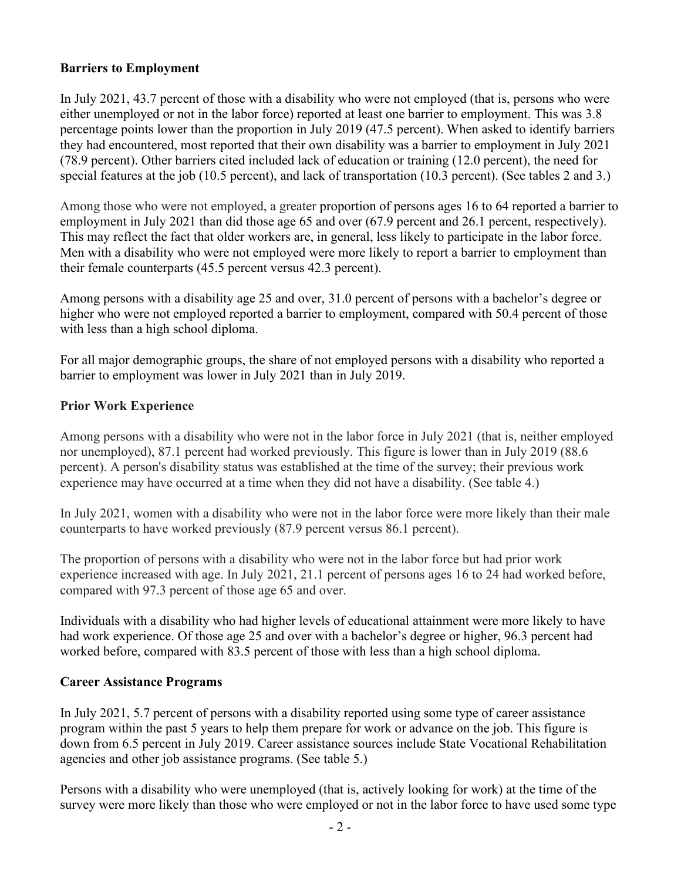# **Barriers to Employment**

In July 2021, 43.7 percent of those with a disability who were not employed (that is, persons who were either unemployed or not in the labor force) reported at least one barrier to employment. This was 3.8 percentage points lower than the proportion in July 2019 (47.5 percent). When asked to identify barriers they had encountered, most reported that their own disability was a barrier to employment in July 2021 (78.9 percent). Other barriers cited included lack of education or training (12.0 percent), the need for special features at the job (10.5 percent), and lack of transportation (10.3 percent). (See tables 2 and 3.)

Among those who were not employed, a greater proportion of persons ages 16 to 64 reported a barrier to employment in July 2021 than did those age 65 and over (67.9 percent and 26.1 percent, respectively). This may reflect the fact that older workers are, in general, less likely to participate in the labor force. Men with a disability who were not employed were more likely to report a barrier to employment than their female counterparts (45.5 percent versus 42.3 percent).

Among persons with a disability age 25 and over, 31.0 percent of persons with a bachelor's degree or higher who were not employed reported a barrier to employment, compared with 50.4 percent of those with less than a high school diploma.

For all major demographic groups, the share of not employed persons with a disability who reported a barrier to employment was lower in July 2021 than in July 2019.

## **Prior Work Experience**

Among persons with a disability who were not in the labor force in July 2021 (that is, neither employed nor unemployed), 87.1 percent had worked previously. This figure is lower than in July 2019 (88.6 percent). A person's disability status was established at the time of the survey; their previous work experience may have occurred at a time when they did not have a disability. (See table 4.)

In July 2021, women with a disability who were not in the labor force were more likely than their male counterparts to have worked previously (87.9 percent versus 86.1 percent).

The proportion of persons with a disability who were not in the labor force but had prior work experience increased with age. In July 2021, 21.1 percent of persons ages 16 to 24 had worked before, compared with 97.3 percent of those age 65 and over.

Individuals with a disability who had higher levels of educational attainment were more likely to have had work experience. Of those age 25 and over with a bachelor's degree or higher, 96.3 percent had worked before, compared with 83.5 percent of those with less than a high school diploma.

## **Career Assistance Programs**

In July 2021, 5.7 percent of persons with a disability reported using some type of career assistance program within the past 5 years to help them prepare for work or advance on the job. This figure is down from 6.5 percent in July 2019. Career assistance sources include State Vocational Rehabilitation agencies and other job assistance programs. (See table 5.)

Persons with a disability who were unemployed (that is, actively looking for work) at the time of the survey were more likely than those who were employed or not in the labor force to have used some type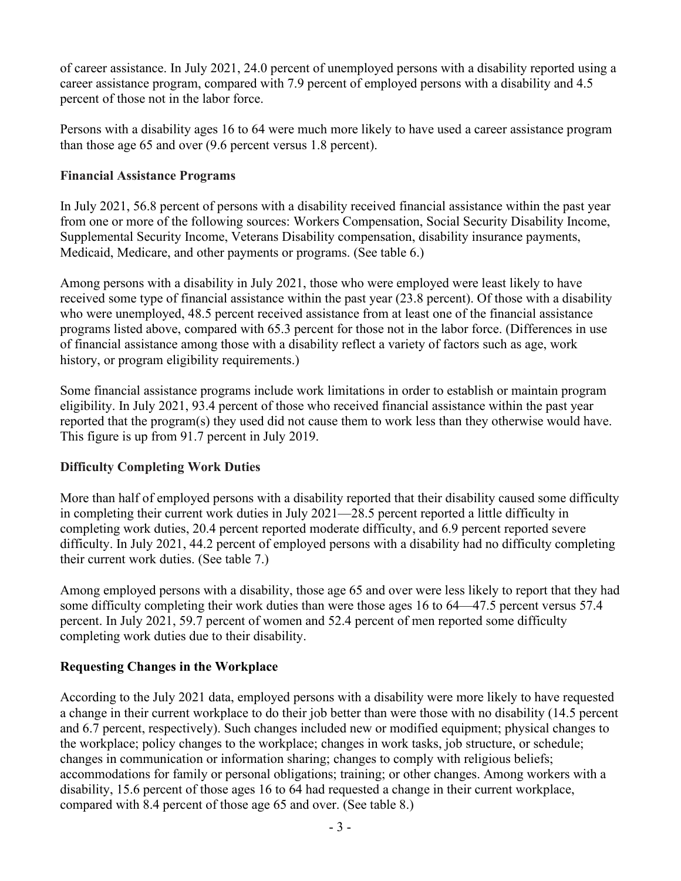of career assistance. In July 2021, 24.0 percent of unemployed persons with a disability reported using a career assistance program, compared with 7.9 percent of employed persons with a disability and 4.5 percent of those not in the labor force.

Persons with a disability ages 16 to 64 were much more likely to have used a career assistance program than those age 65 and over (9.6 percent versus 1.8 percent).

# **Financial Assistance Programs**

In July 2021, 56.8 percent of persons with a disability received financial assistance within the past year from one or more of the following sources: Workers Compensation, Social Security Disability Income, Supplemental Security Income, Veterans Disability compensation, disability insurance payments, Medicaid, Medicare, and other payments or programs. (See table 6.)

Among persons with a disability in July 2021, those who were employed were least likely to have received some type of financial assistance within the past year (23.8 percent). Of those with a disability who were unemployed, 48.5 percent received assistance from at least one of the financial assistance programs listed above, compared with 65.3 percent for those not in the labor force. (Differences in use of financial assistance among those with a disability reflect a variety of factors such as age, work history, or program eligibility requirements.)

Some financial assistance programs include work limitations in order to establish or maintain program eligibility. In July 2021, 93.4 percent of those who received financial assistance within the past year reported that the program(s) they used did not cause them to work less than they otherwise would have. This figure is up from 91.7 percent in July 2019.

## **Difficulty Completing Work Duties**

More than half of employed persons with a disability reported that their disability caused some difficulty in completing their current work duties in July 2021—28.5 percent reported a little difficulty in completing work duties, 20.4 percent reported moderate difficulty, and 6.9 percent reported severe difficulty. In July 2021, 44.2 percent of employed persons with a disability had no difficulty completing their current work duties. (See table 7.)

Among employed persons with a disability, those age 65 and over were less likely to report that they had some difficulty completing their work duties than were those ages 16 to 64—47.5 percent versus 57.4 percent. In July 2021, 59.7 percent of women and 52.4 percent of men reported some difficulty completing work duties due to their disability.

# **Requesting Changes in the Workplace**

According to the July 2021 data, employed persons with a disability were more likely to have requested a change in their current workplace to do their job better than were those with no disability (14.5 percent and 6.7 percent, respectively). Such changes included new or modified equipment; physical changes to the workplace; policy changes to the workplace; changes in work tasks, job structure, or schedule; changes in communication or information sharing; changes to comply with religious beliefs; accommodations for family or personal obligations; training; or other changes. Among workers with a disability, 15.6 percent of those ages 16 to 64 had requested a change in their current workplace, compared with 8.4 percent of those age 65 and over. (See table 8.)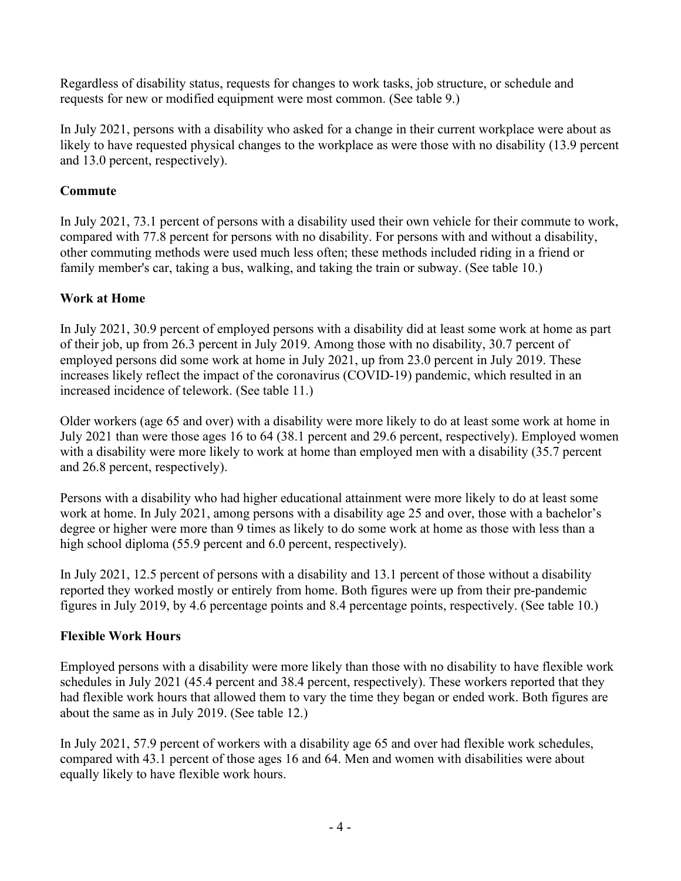Regardless of disability status, requests for changes to work tasks, job structure, or schedule and requests for new or modified equipment were most common. (See table 9.)

In July 2021, persons with a disability who asked for a change in their current workplace were about as likely to have requested physical changes to the workplace as were those with no disability (13.9 percent and 13.0 percent, respectively).

# **Commute**

In July 2021, 73.1 percent of persons with a disability used their own vehicle for their commute to work, compared with 77.8 percent for persons with no disability. For persons with and without a disability, other commuting methods were used much less often; these methods included riding in a friend or family member's car, taking a bus, walking, and taking the train or subway. (See table 10.)

# **Work at Home**

In July 2021, 30.9 percent of employed persons with a disability did at least some work at home as part of their job, up from 26.3 percent in July 2019. Among those with no disability, 30.7 percent of employed persons did some work at home in July 2021, up from 23.0 percent in July 2019. These increases likely reflect the impact of the coronavirus (COVID-19) pandemic, which resulted in an increased incidence of telework. (See table 11.)

Older workers (age 65 and over) with a disability were more likely to do at least some work at home in July 2021 than were those ages 16 to 64 (38.1 percent and 29.6 percent, respectively). Employed women with a disability were more likely to work at home than employed men with a disability (35.7 percent and 26.8 percent, respectively).

Persons with a disability who had higher educational attainment were more likely to do at least some work at home. In July 2021, among persons with a disability age 25 and over, those with a bachelor's degree or higher were more than 9 times as likely to do some work at home as those with less than a high school diploma (55.9 percent and 6.0 percent, respectively).

In July 2021, 12.5 percent of persons with a disability and 13.1 percent of those without a disability reported they worked mostly or entirely from home. Both figures were up from their pre-pandemic figures in July 2019, by 4.6 percentage points and 8.4 percentage points, respectively. (See table 10.)

## **Flexible Work Hours**

Employed persons with a disability were more likely than those with no disability to have flexible work schedules in July 2021 (45.4 percent and 38.4 percent, respectively). These workers reported that they had flexible work hours that allowed them to vary the time they began or ended work. Both figures are about the same as in July 2019. (See table 12.)

In July 2021, 57.9 percent of workers with a disability age 65 and over had flexible work schedules, compared with 43.1 percent of those ages 16 and 64. Men and women with disabilities were about equally likely to have flexible work hours.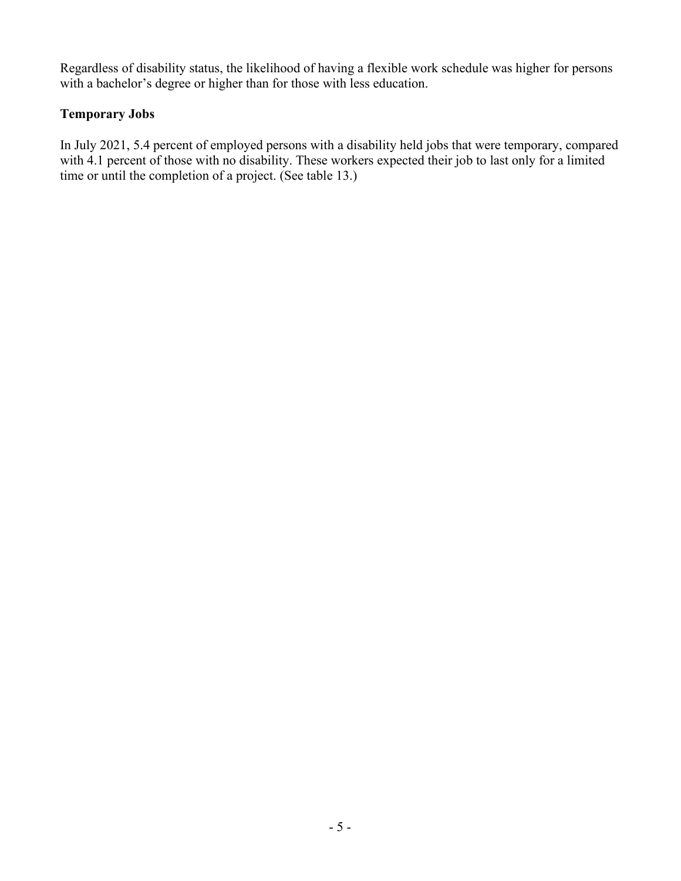Regardless of disability status, the likelihood of having a flexible work schedule was higher for persons with a bachelor's degree or higher than for those with less education.

# **Temporary Jobs**

In July 2021, 5.4 percent of employed persons with a disability held jobs that were temporary, compared with 4.1 percent of those with no disability. These workers expected their job to last only for a limited time or until the completion of a project. (See table 13.)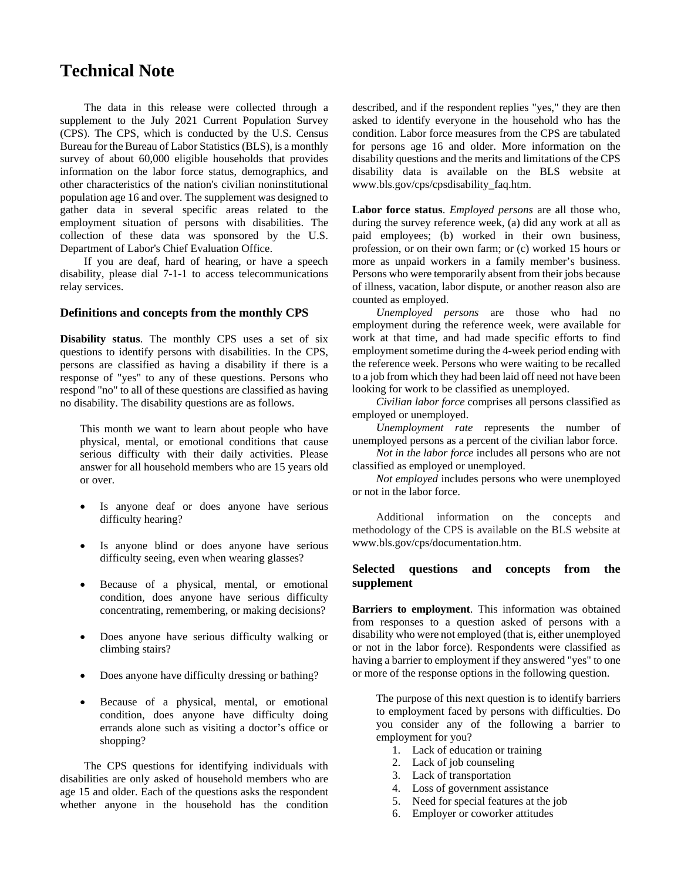# **Technical Note**

The data in this release were collected through a supplement to the July 2021 Current Population Survey (CPS). The CPS, which is conducted by the U.S. Census Bureau for the Bureau of Labor Statistics (BLS), is a monthly survey of about 60,000 eligible households that provides information on the labor force status, demographics, and other characteristics of the nation's civilian noninstitutional population age 16 and over. The supplement was designed to gather data in several specific areas related to the employment situation of persons with disabilities. The collection of these data was sponsored by the U.S. Department of Labor's Chief Evaluation Office.

If you are deaf, hard of hearing, or have a speech disability, please dial 7-1-1 to access telecommunications relay services.

### **Definitions and concepts from the monthly CPS**

**Disability status**. The monthly CPS uses a set of six questions to identify persons with disabilities. In the CPS, persons are classified as having a disability if there is a response of "yes" to any of these questions. Persons who respond "no" to all of these questions are classified as having no disability. The disability questions are as follows.

This month we want to learn about people who have physical, mental, or emotional conditions that cause serious difficulty with their daily activities. Please answer for all household members who are 15 years old or over.

- Is anyone deaf or does anyone have serious difficulty hearing?
- Is anyone blind or does anyone have serious difficulty seeing, even when wearing glasses?
- Because of a physical, mental, or emotional condition, does anyone have serious difficulty concentrating, remembering, or making decisions?
- Does anyone have serious difficulty walking or climbing stairs?
- Does anyone have difficulty dressing or bathing?
- Because of a physical, mental, or emotional condition, does anyone have difficulty doing errands alone such as visiting a doctor's office or shopping?

The CPS questions for identifying individuals with disabilities are only asked of household members who are age 15 and older. Each of the questions asks the respondent whether anyone in the household has the condition described, and if the respondent replies "yes," they are then asked to identify everyone in the household who has the condition. Labor force measures from the CPS are tabulated for persons age 16 and older. More information on the disability questions and the merits and limitations of the CPS disability data is available on the BLS website at www.bls.gov/cps/cpsdisability\_faq.htm.

**Labor force status**. *Employed persons* are all those who, during the survey reference week, (a) did any work at all as paid employees; (b) worked in their own business, profession, or on their own farm; or (c) worked 15 hours or more as unpaid workers in a family member's business. Persons who were temporarily absent from their jobs because of illness, vacation, labor dispute, or another reason also are counted as employed.

*Unemployed persons* are those who had no employment during the reference week, were available for work at that time, and had made specific efforts to find employment sometime during the 4-week period ending with the reference week. Persons who were waiting to be recalled to a job from which they had been laid off need not have been looking for work to be classified as unemployed.

*Civilian labor force* comprises all persons classified as employed or unemployed.

*Unemployment rate* represents the number of unemployed persons as a percent of the civilian labor force.

*Not in the labor force* includes all persons who are not classified as employed or unemployed.

*Not employed* includes persons who were unemployed or not in the labor force.

Additional information on the concepts and methodology of the CPS is available on the BLS website at www.bls.gov/cps/documentation.htm.

### **Selected questions and concepts from the supplement**

**Barriers to employment**. This information was obtained from responses to a question asked of persons with a disability who were not employed (that is, either unemployed or not in the labor force). Respondents were classified as having a barrier to employment if they answered "yes" to one or more of the response options in the following question.

The purpose of this next question is to identify barriers to employment faced by persons with difficulties. Do you consider any of the following a barrier to employment for you?

- 1. Lack of education or training
- 2. Lack of job counseling
- 3. Lack of transportation
- 4. Loss of government assistance
- 5. Need for special features at the job
- 6. Employer or coworker attitudes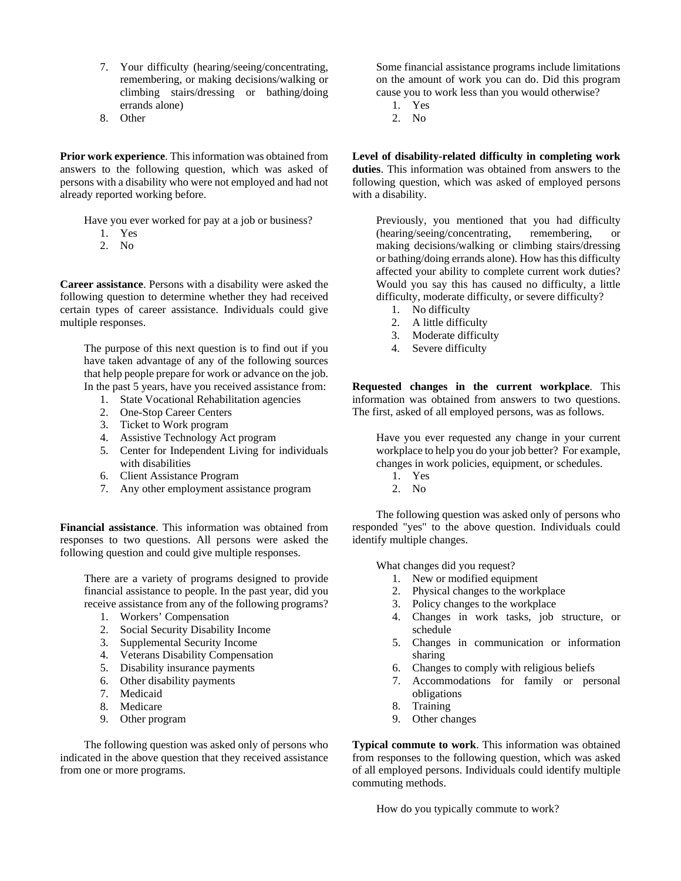- 7. Your difficulty (hearing/seeing/concentrating, remembering, or making decisions/walking or climbing stairs/dressing or bathing/doing errands alone)
- 8. Other

**Prior work experience**. This information was obtained from answers to the following question, which was asked of persons with a disability who were not employed and had not already reported working before.

Have you ever worked for pay at a job or business?

- 1. Yes
- 2. No

**Career assistance**. Persons with a disability were asked the following question to determine whether they had received certain types of career assistance. Individuals could give multiple responses.

The purpose of this next question is to find out if you have taken advantage of any of the following sources that help people prepare for work or advance on the job. In the past 5 years, have you received assistance from:

- 1. State Vocational Rehabilitation agencies
- 2. One-Stop Career Centers
- 3. Ticket to Work program
- 4. Assistive Technology Act program
- 5. Center for Independent Living for individuals with disabilities
- 6. Client Assistance Program
- 7. Any other employment assistance program

**Financial assistance**. This information was obtained from responses to two questions. All persons were asked the following question and could give multiple responses.

There are a variety of programs designed to provide financial assistance to people. In the past year, did you receive assistance from any of the following programs?

- 1. Workers' Compensation
- 2. Social Security Disability Income
- 3. Supplemental Security Income
- 4. Veterans Disability Compensation
- 5. Disability insurance payments
- 6. Other disability payments
- 7. Medicaid
- 8. Medicare
- 9. Other program

The following question was asked only of persons who indicated in the above question that they received assistance from one or more programs.

Some financial assistance programs include limitations on the amount of work you can do. Did this program cause you to work less than you would otherwise?

- 1. Yes
- 2. No

**Level of disability-related difficulty in completing work duties**. This information was obtained from answers to the following question, which was asked of employed persons with a disability.

Previously, you mentioned that you had difficulty (hearing/seeing/concentrating, remembering, or making decisions/walking or climbing stairs/dressing or bathing/doing errands alone). How has this difficulty affected your ability to complete current work duties? Would you say this has caused no difficulty, a little difficulty, moderate difficulty, or severe difficulty?

- 1. No difficulty
- 2. A little difficulty
- 3. Moderate difficulty
- 4. Severe difficulty

**Requested changes in the current workplace**. This information was obtained from answers to two questions. The first, asked of all employed persons, was as follows.

Have you ever requested any change in your current workplace to help you do your job better? For example, changes in work policies, equipment, or schedules.

- 1. Yes
- 2. No

The following question was asked only of persons who responded "yes" to the above question. Individuals could identify multiple changes.

What changes did you request?

- 1. New or modified equipment
- 2. Physical changes to the workplace
- 3. Policy changes to the workplace
- 4. Changes in work tasks, job structure, or schedule
- 5. Changes in communication or information sharing
- 6. Changes to comply with religious beliefs
- 7. Accommodations for family or personal obligations
- 8. Training
- 9. Other changes

**Typical commute to work**. This information was obtained from responses to the following question, which was asked of all employed persons. Individuals could identify multiple commuting methods.

How do you typically commute to work?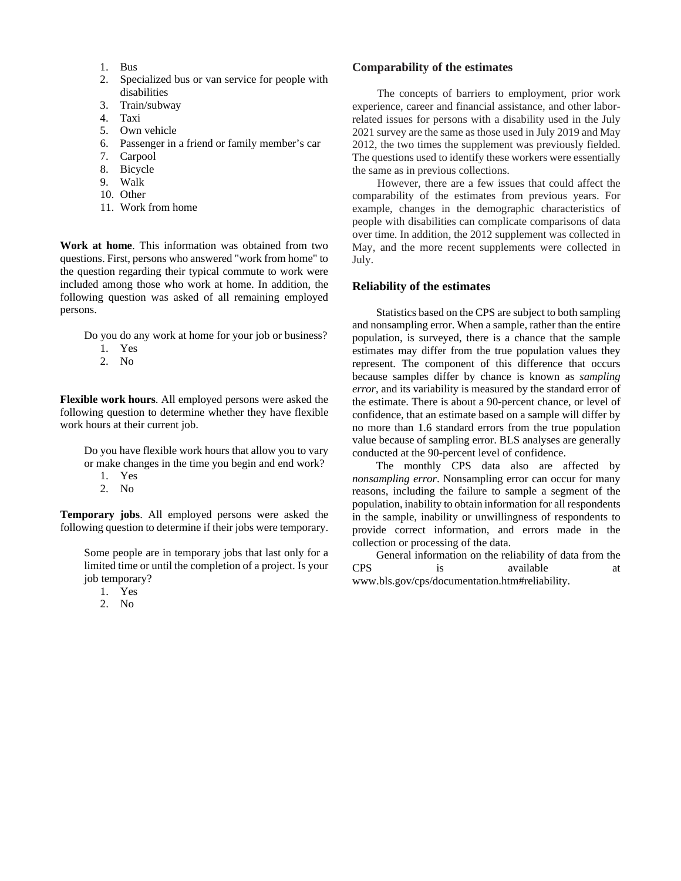- 1. Bus
- 2. Specialized bus or van service for people with disabilities
- 3. Train/subway
- 4. Taxi
- 5. Own vehicle
- 6. Passenger in a friend or family member's car
- 7. Carpool
- 8. Bicycle
- 9. Walk
- 10. Other
- 11. Work from home

**Work at home**. This information was obtained from two questions. First, persons who answered "work from home" to the question regarding their typical commute to work were included among those who work at home. In addition, the following question was asked of all remaining employed persons.

Do you do any work at home for your job or business?

- 1. Yes
- 2. No

**Flexible work hours**. All employed persons were asked the following question to determine whether they have flexible work hours at their current job.

Do you have flexible work hours that allow you to vary or make changes in the time you begin and end work?

- 1. Yes
- 2. No

**Temporary jobs**. All employed persons were asked the following question to determine if their jobs were temporary.

Some people are in temporary jobs that last only for a limited time or until the completion of a project. Is your job temporary?

- 1. Yes
- 2. No

#### **Comparability of the estimates**

 The concepts of barriers to employment, prior work experience, career and financial assistance, and other laborrelated issues for persons with a disability used in the July 2021 survey are the same as those used in July 2019 and May 2012, the two times the supplement was previously fielded. The questions used to identify these workers were essentially the same as in previous collections.

However, there are a few issues that could affect the comparability of the estimates from previous years. For example, changes in the demographic characteristics of people with disabilities can complicate comparisons of data over time. In addition, the 2012 supplement was collected in May, and the more recent supplements were collected in July.

#### **Reliability of the estimates**

Statistics based on the CPS are subject to both sampling and nonsampling error. When a sample, rather than the entire population, is surveyed, there is a chance that the sample estimates may differ from the true population values they represent. The component of this difference that occurs because samples differ by chance is known as *sampling error*, and its variability is measured by the standard error of the estimate. There is about a 90-percent chance, or level of confidence, that an estimate based on a sample will differ by no more than 1.6 standard errors from the true population value because of sampling error. BLS analyses are generally conducted at the 90-percent level of confidence.

The monthly CPS data also are affected by *nonsampling error*. Nonsampling error can occur for many reasons, including the failure to sample a segment of the population, inability to obtain information for all respondents in the sample, inability or unwillingness of respondents to provide correct information, and errors made in the collection or processing of the data.

General information on the reliability of data from the CPS is available at www.bls.gov/cps/documentation.htm#reliability.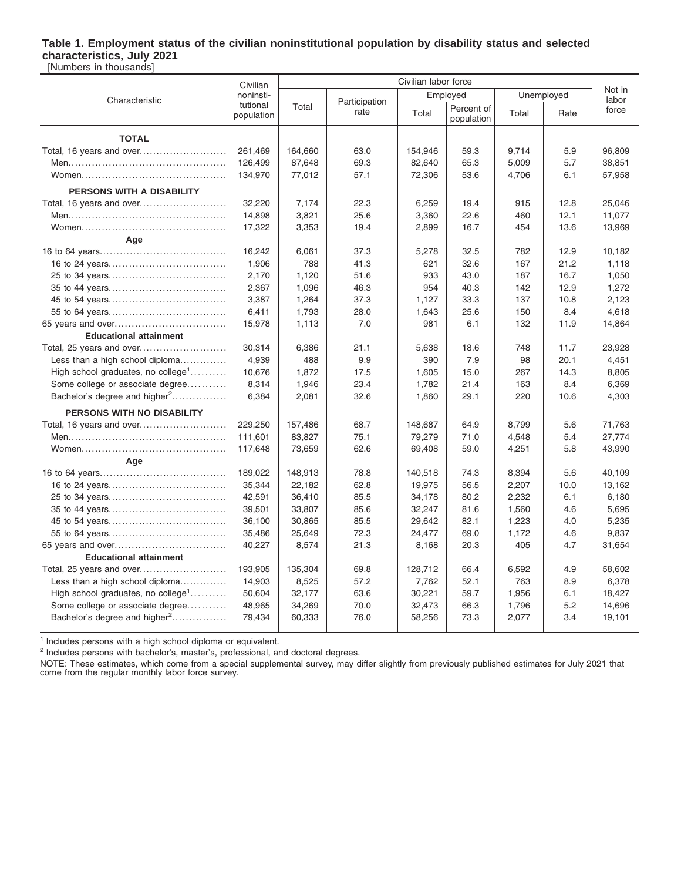### **Table 1. Employment status of the civilian noninstitutional population by disability status and selected characteristics, July 2021**

[Numbers in thousands]

|                                                | Civilian labor force<br>Civilian |         |                       |         |                          |            |                 |        |
|------------------------------------------------|----------------------------------|---------|-----------------------|---------|--------------------------|------------|-----------------|--------|
| Characteristic                                 | noninsti-                        |         |                       |         | Employed                 | Unemployed | Not in<br>labor |        |
|                                                | tutional<br>population           | Total   | Participation<br>rate | Total   | Percent of<br>population | Total      | Rate            | force  |
| <b>TOTAL</b>                                   |                                  |         |                       |         |                          |            |                 |        |
| Total, 16 years and over                       | 261,469                          | 164,660 | 63.0                  | 154,946 | 59.3                     | 9,714      | 5.9             | 96,809 |
|                                                | 126,499                          | 87,648  | 69.3                  | 82,640  | 65.3                     | 5,009      | 5.7             | 38,851 |
|                                                | 134,970                          | 77,012  | 57.1                  | 72,306  | 53.6                     | 4,706      | 6.1             | 57,958 |
| PERSONS WITH A DISABILITY                      |                                  |         |                       |         |                          |            |                 |        |
| Total, 16 years and over                       | 32,220                           | 7,174   | 22.3                  | 6,259   | 19.4                     | 915        | 12.8            | 25,046 |
|                                                | 14,898                           | 3,821   | 25.6                  | 3,360   | 22.6                     | 460        | 12.1            | 11,077 |
|                                                | 17,322                           | 3,353   | 19.4                  | 2,899   | 16.7                     | 454        | 13.6            | 13,969 |
| Age                                            |                                  |         |                       |         |                          |            |                 |        |
|                                                | 16,242                           | 6,061   | 37.3                  | 5,278   | 32.5                     | 782        | 12.9            | 10,182 |
|                                                | 1,906                            | 788     | 41.3                  | 621     | 32.6                     | 167        | 21.2            | 1,118  |
|                                                | 2,170                            | 1,120   | 51.6                  | 933     | 43.0                     | 187        | 16.7            | 1,050  |
|                                                | 2,367                            | 1,096   | 46.3                  | 954     | 40.3                     | 142        | 12.9            | 1,272  |
|                                                | 3,387                            | 1,264   | 37.3                  | 1,127   | 33.3                     | 137        | 10.8            | 2,123  |
|                                                | 6,411                            | 1,793   | 28.0                  | 1,643   | 25.6                     | 150        | 8.4             | 4,618  |
| 65 years and over                              | 15,978                           | 1,113   | 7.0                   | 981     | 6.1                      | 132        | 11.9            | 14,864 |
| <b>Educational attainment</b>                  |                                  |         |                       |         |                          |            |                 |        |
| Total, 25 years and over                       | 30,314                           | 6,386   | 21.1                  | 5,638   | 18.6                     | 748        | 11.7            | 23,928 |
| Less than a high school diploma                | 4,939                            | 488     | 9.9                   | 390     | 7.9                      | 98         | 20.1            | 4,451  |
| High school graduates, no college <sup>1</sup> | 10,676                           | 1,872   | 17.5                  | 1,605   | 15.0                     | 267        | 14.3            | 8,805  |
| Some college or associate degree               | 8,314                            | 1,946   | 23.4                  | 1,782   | 21.4                     | 163        | 8.4             | 6,369  |
| Bachelor's degree and higher <sup>2</sup>      | 6,384                            | 2,081   | 32.6                  | 1,860   | 29.1                     | 220        | 10.6            | 4,303  |
| PERSONS WITH NO DISABILITY                     |                                  |         |                       |         |                          |            |                 |        |
|                                                | 229,250                          | 157,486 | 68.7                  | 148,687 | 64.9                     | 8,799      | 5.6             | 71,763 |
|                                                | 111,601                          | 83,827  | 75.1                  | 79,279  | 71.0                     | 4,548      | 5.4             | 27,774 |
|                                                | 117,648                          | 73,659  | 62.6                  | 69,408  | 59.0                     | 4,251      | 5.8             | 43,990 |
| Age                                            |                                  |         |                       |         |                          |            |                 |        |
|                                                | 189,022                          | 148,913 | 78.8                  | 140,518 | 74.3                     | 8,394      | 5.6             | 40,109 |
|                                                | 35,344                           | 22,182  | 62.8                  | 19,975  | 56.5                     | 2,207      | 10.0            | 13,162 |
|                                                | 42,591                           | 36,410  | 85.5                  | 34,178  | 80.2                     | 2,232      | 6.1             | 6,180  |
|                                                | 39,501                           | 33,807  | 85.6                  | 32,247  | 81.6                     | 1,560      | 4.6             | 5,695  |
|                                                | 36,100                           | 30,865  | 85.5                  | 29,642  | 82.1                     | 1,223      | 4.0             | 5,235  |
|                                                | 35,486                           | 25,649  | 72.3                  | 24,477  | 69.0                     | 1,172      | 4.6             | 9,837  |
|                                                | 40,227                           | 8,574   | 21.3                  | 8,168   | 20.3                     | 405        | 4.7             | 31,654 |
| <b>Educational attainment</b>                  |                                  |         |                       |         |                          |            |                 |        |
| Total, 25 years and over                       | 193,905                          | 135,304 | 69.8                  | 128,712 | 66.4                     | 6,592      | 4.9             | 58,602 |
| Less than a high school diploma                | 14,903                           | 8,525   | 57.2                  | 7,762   | 52.1                     | 763        | 8.9             | 6,378  |
| High school graduates, no college <sup>1</sup> | 50,604                           | 32,177  | 63.6                  | 30,221  | 59.7                     | 1,956      | 6.1             | 18,427 |
| Some college or associate degree               | 48,965                           | 34,269  | 70.0                  | 32,473  | 66.3                     | 1,796      | 5.2             | 14,696 |
| Bachelor's degree and higher <sup>2</sup>      | 79,434                           | 60,333  | 76.0                  | 58,256  | 73.3                     | 2,077      | 3.4             | 19,101 |
|                                                |                                  |         |                       |         |                          |            |                 |        |

<sup>1</sup> Includes persons with a high school diploma or equivalent.

<sup>2</sup> Includes persons with bachelor's, master's, professional, and doctoral degrees.

NOTE: These estimates, which come from a special supplemental survey, may differ slightly from previously published estimates for July 2021 that come from the regular monthly labor force survey.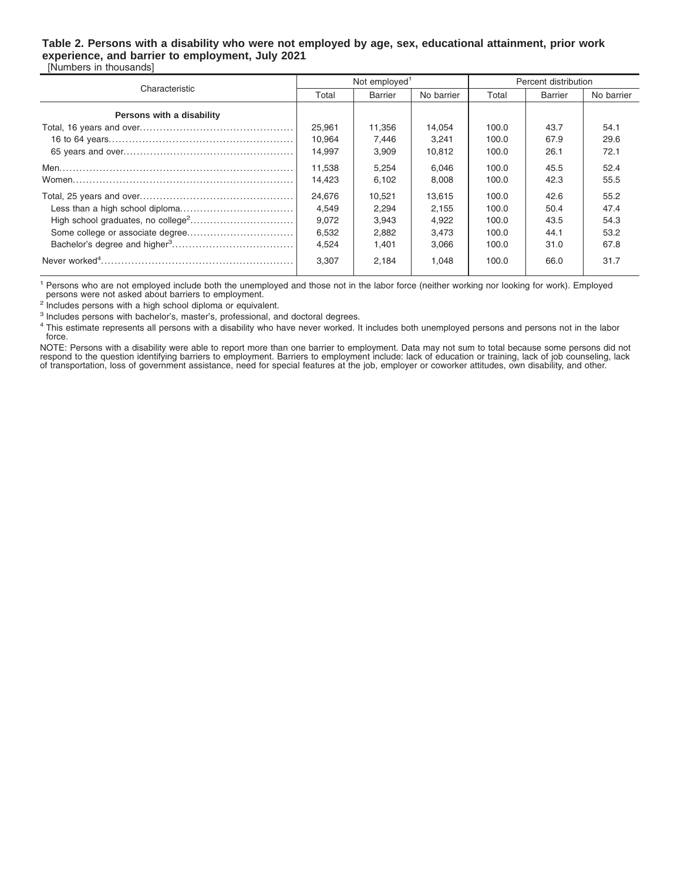### **Table 2. Persons with a disability who were not employed by age, sex, educational attainment, prior work experience, and barrier to employment, July 2021**

[Numbers in thousands]

|                           |        | Not employed <sup>1</sup> |            | Percent distribution |         |            |  |
|---------------------------|--------|---------------------------|------------|----------------------|---------|------------|--|
| Characteristic            | Total  | <b>Barrier</b>            | No barrier | Total                | Barrier | No barrier |  |
| Persons with a disability |        |                           |            |                      |         |            |  |
|                           | 25,961 | 11,356                    | 14.054     | 100.0                | 43.7    | 54.1       |  |
|                           | 10.964 | 7.446                     | 3.241      | 100.0                | 67.9    | 29.6       |  |
|                           | 14.997 | 3.909                     | 10.812     | 100.0                | 26.1    | 72.1       |  |
|                           | 11.538 | 5.254                     | 6.046      | 100.0                | 45.5    | 52.4       |  |
|                           | 14.423 | 6.102                     | 8,008      | 100.0                | 42.3    | 55.5       |  |
|                           | 24.676 | 10.521                    | 13.615     | 100.0                | 42.6    | 55.2       |  |
|                           | 4.549  | 2.294                     | 2.155      | 100.0                | 50.4    | 47.4       |  |
|                           | 9.072  | 3.943                     | 4.922      | 100.0                | 43.5    | 54.3       |  |
|                           | 6,532  | 2,882                     | 3,473      | 100.0                | 44.1    | 53.2       |  |
|                           | 4.524  | 1.401                     | 3.066      | 100.0                | 31.0    | 67.8       |  |
|                           | 3.307  | 2.184                     | 1.048      | 100.0                | 66.0    | 31.7       |  |

<sup>1</sup> Persons who are not employed include both the unemployed and those not in the labor force (neither working nor looking for work). Employed persons were not asked about barriers to employment.

<sup>2</sup> Includes persons with a high school diploma or equivalent.

<sup>3</sup> Includes persons with bachelor's, master's, professional, and doctoral degrees.

<sup>4</sup> This estimate represents all persons with a disability who have never worked. It includes both unemployed persons and persons not in the labor force.

NOTE: Persons with a disability were able to report more than one barrier to employment. Data may not sum to total because some persons did not<br>respond to the question identifying barriers to employment. Barriers to employ of transportation, loss of government assistance, need for special features at the job, employer or coworker attitudes, own disability, and other.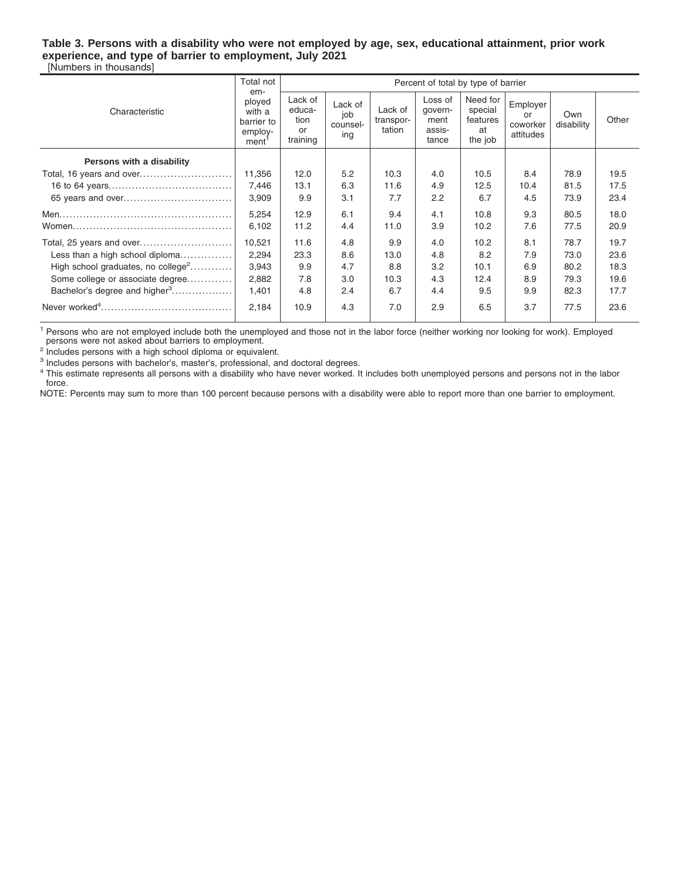#### **Table 3. Persons with a disability who were not employed by age, sex, educational attainment, prior work experience, and type of barrier to employment, July 2021** [Numbers in thousands]

|                                                | Total not                                                      | Percent of total by type of barrier<br>em-  |                                   |                                |                                               |                                                  |                                         |                   |       |
|------------------------------------------------|----------------------------------------------------------------|---------------------------------------------|-----------------------------------|--------------------------------|-----------------------------------------------|--------------------------------------------------|-----------------------------------------|-------------------|-------|
| Characteristic                                 | ployed<br>with a<br>barrier to<br>employ-<br>ment <sup>'</sup> | Lack of<br>educa-<br>tion<br>or<br>training | Lack of<br>job<br>counsel-<br>ing | Lack of<br>transpor-<br>tation | Loss of<br>govern-<br>ment<br>assis-<br>tance | Need for<br>special<br>features<br>at<br>the job | Employer<br>or<br>coworker<br>attitudes | Own<br>disability | Other |
| Persons with a disability                      |                                                                |                                             |                                   |                                |                                               |                                                  |                                         |                   |       |
| Total, 16 years and over                       | 11,356                                                         | 12.0                                        | 5.2                               | 10.3                           | 4.0                                           | 10.5                                             | 8.4                                     | 78.9              | 19.5  |
|                                                | 7,446                                                          | 13.1                                        | 6.3                               | 11.6                           | 4.9                                           | 12.5                                             | 10.4                                    | 81.5              | 17.5  |
|                                                | 3,909                                                          | 9.9                                         | 3.1                               | 7.7                            | 2.2                                           | 6.7                                              | 4.5                                     | 73.9              | 23.4  |
|                                                | 5,254                                                          | 12.9                                        | 6.1                               | 9.4                            | 4.1                                           | 10.8                                             | 9.3                                     | 80.5              | 18.0  |
|                                                | 6,102                                                          | 11.2                                        | 4.4                               | 11.0                           | 3.9                                           | 10.2                                             | 7.6                                     | 77.5              | 20.9  |
|                                                | 10,521                                                         | 11.6                                        | 4.8                               | 9.9                            | 4.0                                           | 10.2                                             | 8.1                                     | 78.7              | 19.7  |
| Less than a high school diploma                | 2,294                                                          | 23.3                                        | 8.6                               | 13.0                           | 4.8                                           | 8.2                                              | 7.9                                     | 73.0              | 23.6  |
| High school graduates, no college <sup>2</sup> | 3,943                                                          | 9.9                                         | 4.7                               | 8.8                            | 3.2                                           | 10.1                                             | 6.9                                     | 80.2              | 18.3  |
| Some college or associate degree               | 2,882                                                          | 7.8                                         | 3.0                               | 10.3                           | 4.3                                           | 12.4                                             | 8.9                                     | 79.3              | 19.6  |
| Bachelor's degree and higher <sup>3</sup>      | 1,401                                                          | 4.8                                         | 2.4                               | 6.7                            | 4.4                                           | 9.5                                              | 9.9                                     | 82.3              | 17.7  |
|                                                | 2,184                                                          | 10.9                                        | 4.3                               | 7.0                            | 2.9                                           | 6.5                                              | 3.7                                     | 77.5              | 23.6  |

<sup>1</sup> Persons who are not employed include both the unemployed and those not in the labor force (neither working nor looking for work). Employed persons were not asked about barriers to employment.

<sup>2</sup> Includes persons with a high school diploma or equivalent.

<sup>3</sup> Includes persons with bachelor's, master's, professional, and doctoral degrees.

<sup>4</sup> This estimate represents all persons with a disability who have never worked. It includes both unemployed persons and persons not in the labor force.

NOTE: Percents may sum to more than 100 percent because persons with a disability were able to report more than one barrier to employment.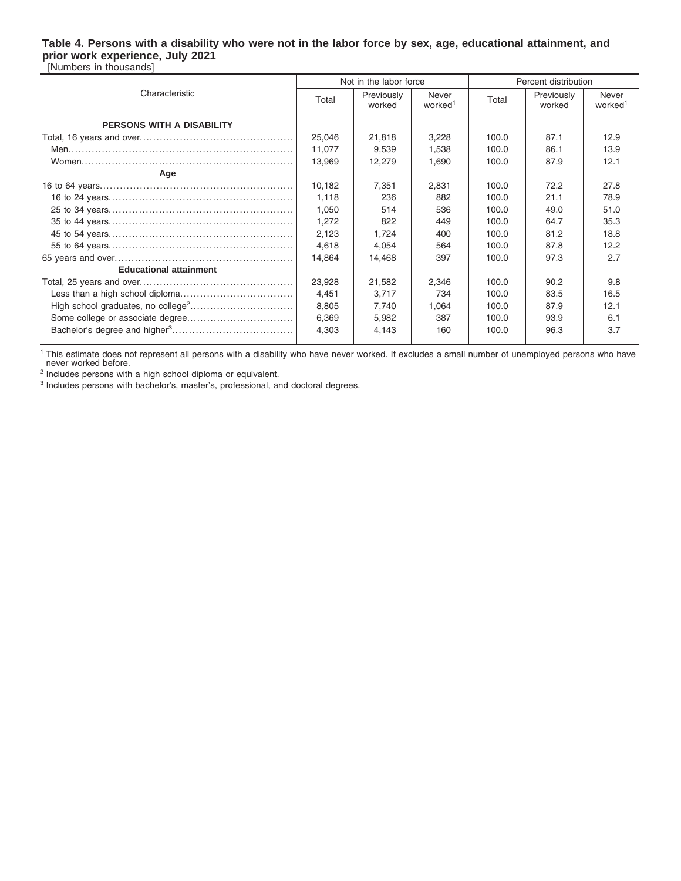#### **Table 4. Persons with a disability who were not in the labor force by sex, age, educational attainment, and prior work experience, July 2021** [Numbers in thousands]

|                               |        | Not in the labor force |                              | Percent distribution |                      |                              |  |
|-------------------------------|--------|------------------------|------------------------------|----------------------|----------------------|------------------------------|--|
| Characteristic                | Total  | Previously<br>worked   | Never<br>worked <sup>1</sup> | Total                | Previously<br>worked | Never<br>worked <sup>1</sup> |  |
| PERSONS WITH A DISABILITY     |        |                        |                              |                      |                      |                              |  |
|                               | 25,046 | 21,818                 | 3,228                        | 100.0                | 87.1                 | 12.9                         |  |
|                               | 11,077 | 9,539                  | 1,538                        | 100.0                | 86.1                 | 13.9                         |  |
|                               | 13,969 | 12,279                 | 1,690                        | 100.0                | 87.9                 | 12.1                         |  |
| Age                           |        |                        |                              |                      |                      |                              |  |
|                               | 10,182 | 7,351                  | 2,831                        | 100.0                | 72.2                 | 27.8                         |  |
|                               | 1,118  | 236                    | 882                          | 100.0                | 21.1                 | 78.9                         |  |
|                               | 1,050  | 514                    | 536                          | 100.0                | 49.0                 | 51.0                         |  |
|                               | 1,272  | 822                    | 449                          | 100.0                | 64.7                 | 35.3                         |  |
|                               | 2,123  | 1,724                  | 400                          | 100.0                | 81.2                 | 18.8                         |  |
|                               | 4,618  | 4,054                  | 564                          | 100.0                | 87.8                 | 12.2                         |  |
|                               | 14,864 | 14,468                 | 397                          | 100.0                | 97.3                 | 2.7                          |  |
| <b>Educational attainment</b> |        |                        |                              |                      |                      |                              |  |
|                               | 23,928 | 21,582                 | 2,346                        | 100.0                | 90.2                 | 9.8                          |  |
|                               | 4,451  | 3.717                  | 734                          | 100.0                | 83.5                 | 16.5                         |  |
|                               | 8,805  | 7.740                  | 1,064                        | 100.0                | 87.9                 | 12.1                         |  |
|                               | 6,369  | 5,982                  | 387                          | 100.0                | 93.9                 | 6.1                          |  |
|                               | 4,303  | 4,143                  | 160                          | 100.0                | 96.3                 | 3.7                          |  |

<sup>1</sup> This estimate does not represent all persons with a disability who have never worked. It excludes a small number of unemployed persons who have never worked before.

<sup>2</sup> Includes persons with a high school diploma or equivalent.

<sup>3</sup> Includes persons with bachelor's, master's, professional, and doctoral degrees.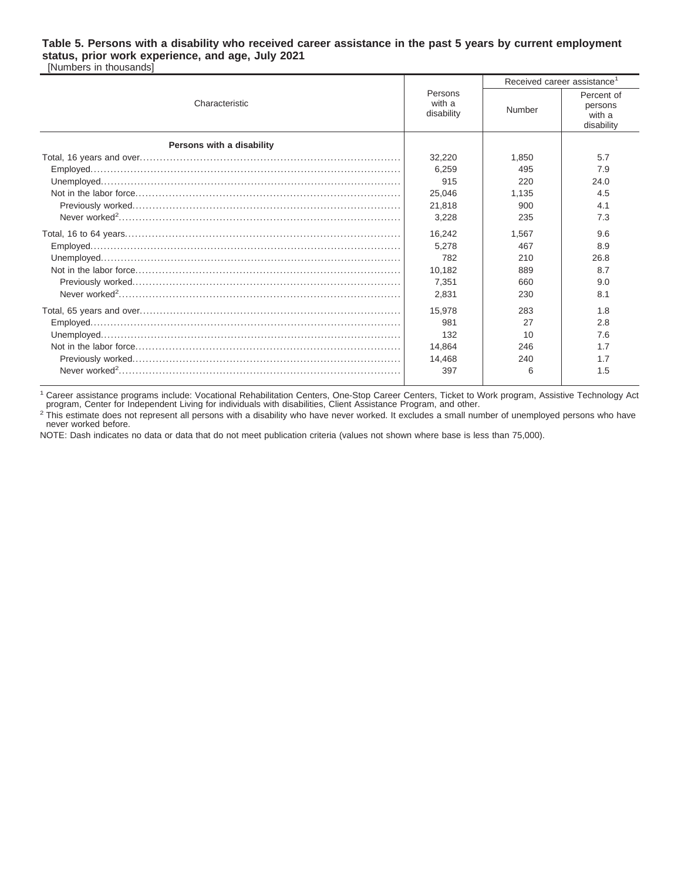#### **Table 5. Persons with a disability who received career assistance in the past 5 years by current employment status, prior work experience, and age, July 2021** [Numbers in thousands]

|                           |                                 | Received career assistance <sup>1</sup> |                                               |  |  |
|---------------------------|---------------------------------|-----------------------------------------|-----------------------------------------------|--|--|
| Characteristic            | Persons<br>with a<br>disability | Number                                  | Percent of<br>persons<br>with a<br>disability |  |  |
| Persons with a disability |                                 |                                         |                                               |  |  |
|                           | 32,220                          | 1.850                                   | 5.7                                           |  |  |
|                           | 6.259                           | 495                                     | 7.9                                           |  |  |
|                           | 915                             | 220                                     | 24.0                                          |  |  |
|                           | 25.046                          | 1.135                                   | 4.5                                           |  |  |
|                           | 21.818                          | 900                                     | 4.1                                           |  |  |
|                           | 3,228                           | 235                                     | 7.3                                           |  |  |
|                           | 16.242                          | 1.567                                   | 9.6                                           |  |  |
|                           | 5.278                           | 467                                     | 8.9                                           |  |  |
|                           | 782                             | 210                                     | 26.8                                          |  |  |
|                           | 10.182                          | 889                                     | 8.7                                           |  |  |
|                           | 7,351                           | 660                                     | 9.0                                           |  |  |
|                           | 2,831                           | 230                                     | 8.1                                           |  |  |
|                           | 15.978                          | 283                                     | 1.8                                           |  |  |
|                           | 981                             | 27                                      | 2.8                                           |  |  |
|                           | 132                             | 10                                      | 7.6                                           |  |  |
|                           | 14.864                          | 246                                     | 1.7                                           |  |  |
|                           | 14,468                          | 240                                     | 1.7                                           |  |  |
|                           | 397                             | 6                                       | 1.5                                           |  |  |

<sup>1</sup> Career assistance programs include: Vocational Rehabilitation Centers, One-Stop Career Centers, Ticket to Work program, Assistive Technology Act<br>program, Center for Independent Living for individuals with disabilities,

<sup>2</sup> This estimate does not represent all persons with a disability who have never worked. It excludes a small number of unemployed persons who have never worked before.

NOTE: Dash indicates no data or data that do not meet publication criteria (values not shown where base is less than 75,000).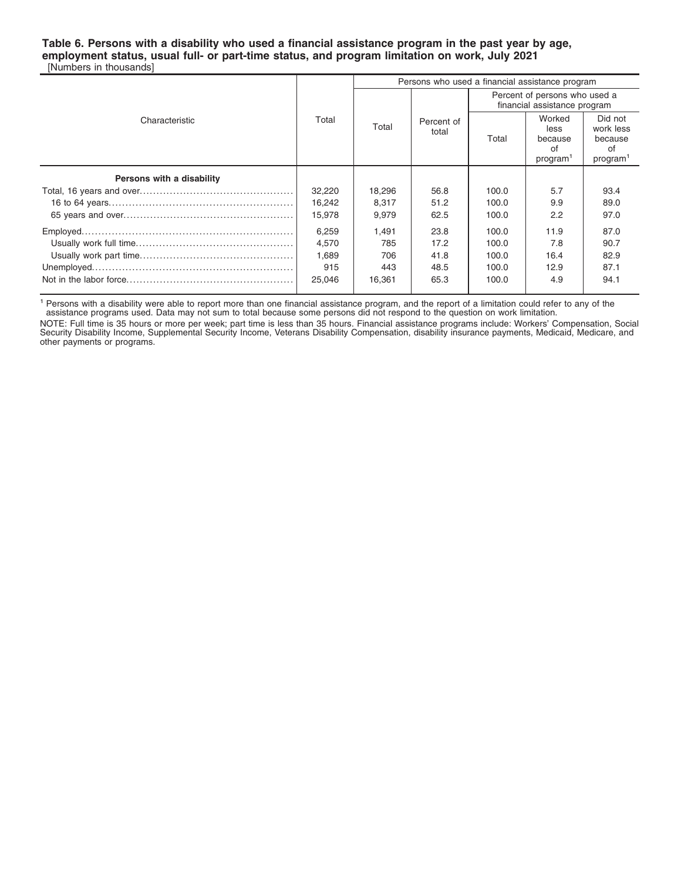#### **Table 6. Persons with a disability who used a financial assistance program in the past year by age, employment status, usual full- or part-time status, and program limitation on work, July 2021** [Numbers in thousands]

|                           |        | Persons who used a financial assistance program |                     |       |                                                               |                                                               |  |
|---------------------------|--------|-------------------------------------------------|---------------------|-------|---------------------------------------------------------------|---------------------------------------------------------------|--|
|                           |        |                                                 |                     |       | Percent of persons who used a<br>financial assistance program |                                                               |  |
| Characteristic            | Total  | Total                                           | Percent of<br>total | Total | Worked<br>less<br>because<br>οf<br>program <sup>1</sup>       | Did not<br>work less<br>because<br>of<br>program <sup>1</sup> |  |
| Persons with a disability |        |                                                 |                     |       |                                                               |                                                               |  |
|                           | 32,220 | 18,296                                          | 56.8                | 100.0 | 5.7                                                           | 93.4                                                          |  |
|                           | 16,242 | 8.317                                           | 51.2                | 100.0 | 9.9                                                           | 89.0                                                          |  |
|                           | 15,978 | 9,979                                           | 62.5                | 100.0 | 2.2                                                           | 97.0                                                          |  |
|                           | 6,259  | 1.491                                           | 23.8                | 100.0 | 11.9                                                          | 87.0                                                          |  |
|                           | 4.570  | 785                                             | 17.2                | 100.0 | 7.8                                                           | 90.7                                                          |  |
|                           | 1,689  | 706                                             | 41.8                | 100.0 | 16.4                                                          | 82.9                                                          |  |
|                           | 915    | 443                                             | 48.5                | 100.0 | 12.9                                                          | 87.1                                                          |  |
|                           | 25,046 | 16,361                                          | 65.3                | 100.0 | 4.9                                                           | 94.1                                                          |  |

<sup>1</sup> Persons with a disability were able to report more than one financial assistance program, and the report of a limitation could refer to any of the

assistance programs used. Data may not sum to total because some persons did not respond to the question on work limitation.

NOTE: Full time is 35 hours or more per week; part time is less than 35 hours. Financial assistance programs include: Workers' Compensation, Social<br>Security Disability Income, Supplemental Security Income, Veterans Disabil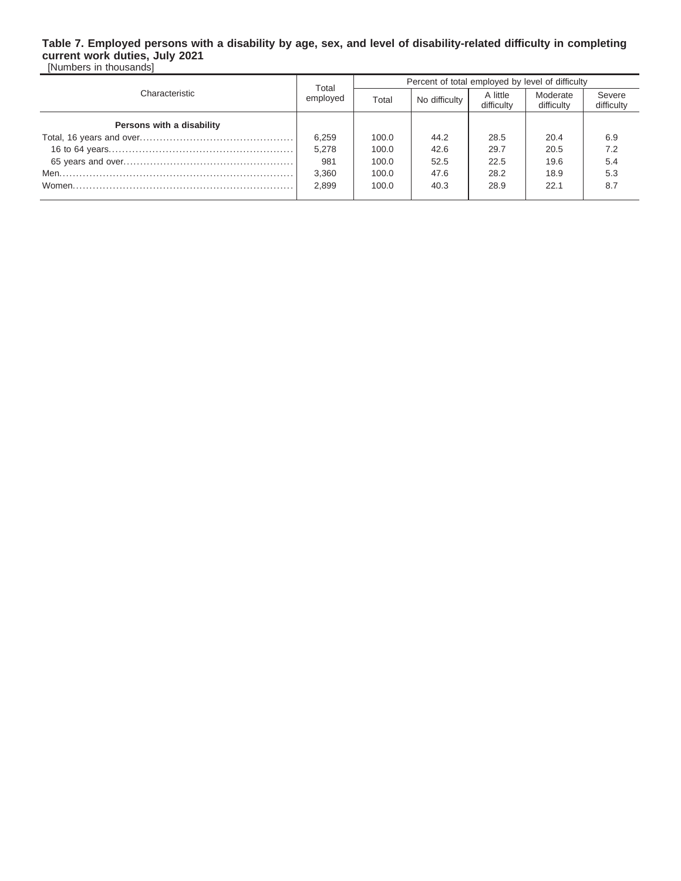### **Table 7. Employed persons with a disability by age, sex, and level of disability-related difficulty in completing current work duties, July 2021**

[Numbers in thousands]

|                           | Total    | Percent of total employed by level of difficulty |               |                        |                        |                      |  |
|---------------------------|----------|--------------------------------------------------|---------------|------------------------|------------------------|----------------------|--|
| Characteristic            | employed | Total                                            | No difficulty | A little<br>difficulty | Moderate<br>difficulty | Severe<br>difficulty |  |
| Persons with a disability |          |                                                  |               |                        |                        |                      |  |
|                           | 6,259    | 100.0                                            | 44.2          | 28.5                   | 20.4                   | 6.9                  |  |
|                           | 5.278    | 100.0                                            | 42.6          | 29.7                   | 20.5                   | 7.2                  |  |
|                           | 981      | 100.0                                            | 52.5          | 22.5                   | 19.6                   | 5.4                  |  |
|                           | 3,360    | 100.0                                            | 47.6          | 28.2                   | 18.9                   | 5.3                  |  |
|                           | 2.899    | 100.0                                            | 40.3          | 28.9                   | 22.1                   | 8.7                  |  |
|                           |          |                                                  |               |                        |                        |                      |  |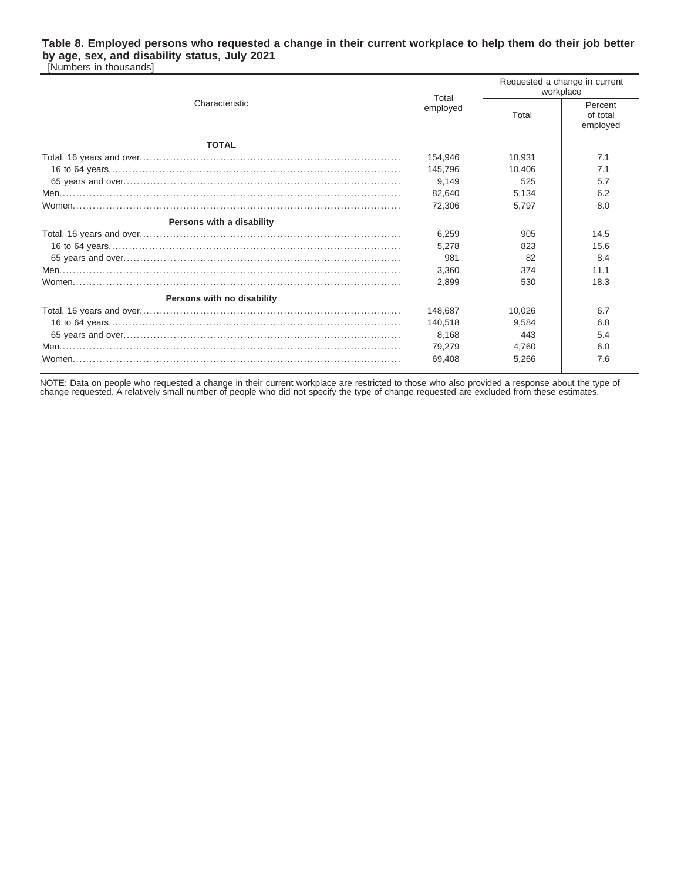### **Table 8. Employed persons who requested a change in their current workplace to help them do their job better by age, sex, and disability status, July 2021**

[Numbers in thousands]

|                            | Total    | Requested a change in current<br>workplace |                                 |  |
|----------------------------|----------|--------------------------------------------|---------------------------------|--|
| Characteristic             | employed | Total                                      | Percent<br>of total<br>employed |  |
| <b>TOTAL</b>               |          |                                            |                                 |  |
|                            | 154,946  | 10.931                                     | 7.1                             |  |
|                            | 145,796  | 10.406                                     | 7.1                             |  |
|                            | 9,149    | 525                                        | 5.7                             |  |
|                            | 82,640   | 5,134                                      | 6.2                             |  |
|                            | 72,306   | 5.797                                      | 8.0                             |  |
| Persons with a disability  |          |                                            |                                 |  |
|                            | 6,259    | 905                                        | 14.5                            |  |
|                            | 5,278    | 823                                        | 15.6                            |  |
|                            | 981      | 82                                         | 8.4                             |  |
|                            | 3,360    | 374                                        | 11.1                            |  |
|                            | 2.899    | 530                                        | 18.3                            |  |
| Persons with no disability |          |                                            |                                 |  |
|                            | 148,687  | 10,026                                     | 6.7                             |  |
|                            | 140,518  | 9.584                                      | 6.8                             |  |
|                            | 8,168    | 443                                        | 5.4                             |  |
|                            | 79,279   | 4.760                                      | 6.0                             |  |
|                            | 69,408   | 5,266                                      | 7.6                             |  |

NOTE: Data on people who requested a change in their current workplace are restricted to those who also provided a response about the type of<br>change requested. A relatively small number of people who did not specify the ty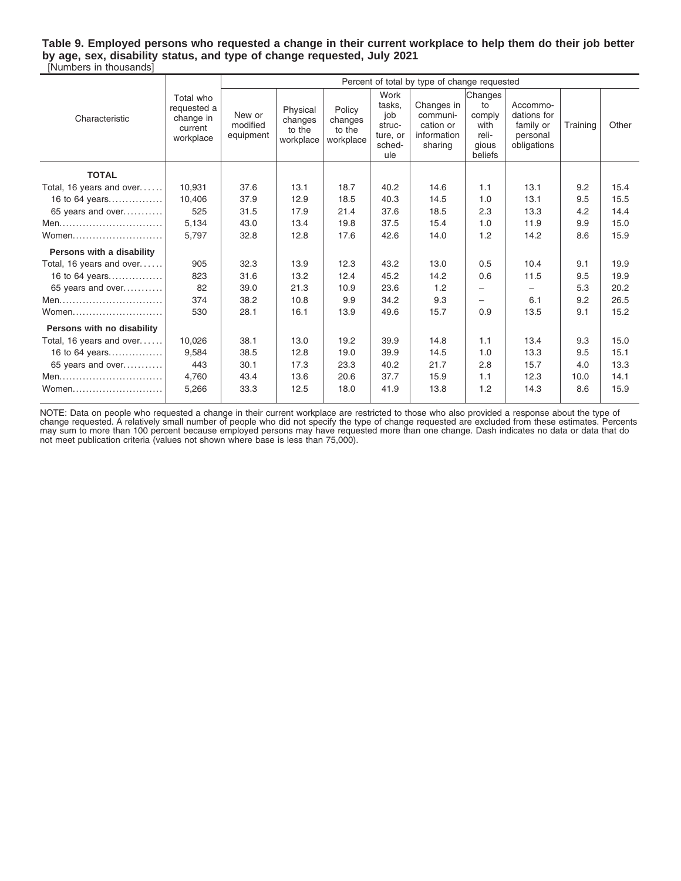**Table 9. Employed persons who requested a change in their current workplace to help them do their job better by age, sex, disability status, and type of change requested, July 2021** [Numbers in thousands]

|                            |                                                               |                                 |                                            |                                          |                                                              | Percent of total by type of change requested                  |                                                              |                                                                 |          |       |
|----------------------------|---------------------------------------------------------------|---------------------------------|--------------------------------------------|------------------------------------------|--------------------------------------------------------------|---------------------------------------------------------------|--------------------------------------------------------------|-----------------------------------------------------------------|----------|-------|
| Characteristic             | Total who<br>requested a<br>change in<br>current<br>workplace | New or<br>modified<br>equipment | Physical<br>changes<br>to the<br>workplace | Policy<br>changes<br>to the<br>workplace | Work<br>tasks.<br>job<br>struc-<br>ture, or<br>sched-<br>ule | Changes in<br>communi-<br>cation or<br>information<br>sharing | Changes<br>to<br>comply<br>with<br>reli-<br>gious<br>beliefs | Accommo-<br>dations for<br>family or<br>personal<br>obligations | Training | Other |
| <b>TOTAL</b>               |                                                               |                                 |                                            |                                          |                                                              |                                                               |                                                              |                                                                 |          |       |
| Total, 16 years and over   | 10.931                                                        | 37.6                            | 13.1                                       | 18.7                                     | 40.2                                                         | 14.6                                                          | 1.1                                                          | 13.1                                                            | 9.2      | 15.4  |
| 16 to 64 years             | 10.406                                                        | 37.9                            | 12.9                                       | 18.5                                     | 40.3                                                         | 14.5                                                          | 1.0                                                          | 13.1                                                            | 9.5      | 15.5  |
| 65 years and over          | 525                                                           | 31.5                            | 17.9                                       | 21.4                                     | 37.6                                                         | 18.5                                                          | 2.3                                                          | 13.3                                                            | 4.2      | 14.4  |
| Men                        | 5,134                                                         | 43.0                            | 13.4                                       | 19.8                                     | 37.5                                                         | 15.4                                                          | 1.0                                                          | 11.9                                                            | 9.9      | 15.0  |
|                            | 5,797                                                         | 32.8                            | 12.8                                       | 17.6                                     | 42.6                                                         | 14.0                                                          | 1.2                                                          | 14.2                                                            | 8.6      | 15.9  |
| Persons with a disability  |                                                               |                                 |                                            |                                          |                                                              |                                                               |                                                              |                                                                 |          |       |
| Total, 16 years and over   | 905                                                           | 32.3                            | 13.9                                       | 12.3                                     | 43.2                                                         | 13.0                                                          | 0.5                                                          | 10.4                                                            | 9.1      | 19.9  |
| 16 to 64 years             | 823                                                           | 31.6                            | 13.2                                       | 12.4                                     | 45.2                                                         | 14.2                                                          | 0.6                                                          | 11.5                                                            | 9.5      | 19.9  |
| 65 years and over          | 82                                                            | 39.0                            | 21.3                                       | 10.9                                     | 23.6                                                         | 1.2                                                           |                                                              | $\overline{\phantom{0}}$                                        | 5.3      | 20.2  |
| Men                        | 374                                                           | 38.2                            | 10.8                                       | 9.9                                      | 34.2                                                         | 9.3                                                           | $\overline{\phantom{0}}$                                     | 6.1                                                             | 9.2      | 26.5  |
| Women                      | 530                                                           | 28.1                            | 16.1                                       | 13.9                                     | 49.6                                                         | 15.7                                                          | 0.9                                                          | 13.5                                                            | 9.1      | 15.2  |
| Persons with no disability |                                                               |                                 |                                            |                                          |                                                              |                                                               |                                                              |                                                                 |          |       |
| Total, 16 years and over   | 10,026                                                        | 38.1                            | 13.0                                       | 19.2                                     | 39.9                                                         | 14.8                                                          | 1.1                                                          | 13.4                                                            | 9.3      | 15.0  |
| 16 to 64 years             | 9,584                                                         | 38.5                            | 12.8                                       | 19.0                                     | 39.9                                                         | 14.5                                                          | 1.0                                                          | 13.3                                                            | 9.5      | 15.1  |
| 65 years and over          | 443                                                           | 30.1                            | 17.3                                       | 23.3                                     | 40.2                                                         | 21.7                                                          | 2.8                                                          | 15.7                                                            | 4.0      | 13.3  |
| Men                        | 4,760                                                         | 43.4                            | 13.6                                       | 20.6                                     | 37.7                                                         | 15.9                                                          | 1.1                                                          | 12.3                                                            | 10.0     | 14.1  |
| Women                      | 5,266                                                         | 33.3                            | 12.5                                       | 18.0                                     | 41.9                                                         | 13.8                                                          | 1.2                                                          | 14.3                                                            | 8.6      | 15.9  |

NOTE: Data on people who requested a change in their current workplace are restricted to those who also provided a response about the type of<br>change requested. A relatively small number of people who did not specify the ty not meet publication criteria (values not shown where base is less than 75,000).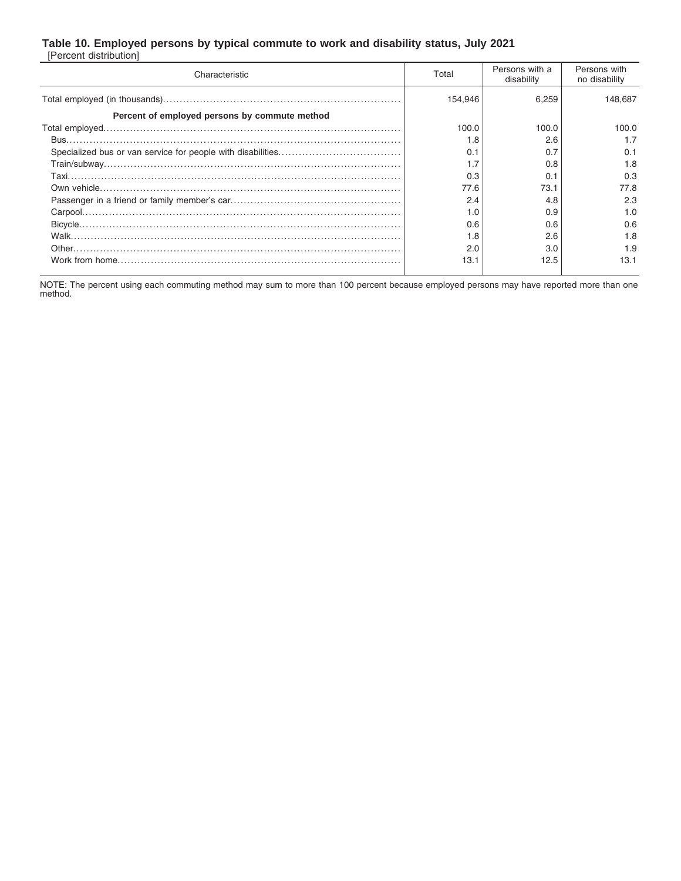### **Table 10. Employed persons by typical commute to work and disability status, July 2021**

[Percent distribution]

| Characteristic                                | Total   | Persons with a<br>disability | Persons with<br>no disability |
|-----------------------------------------------|---------|------------------------------|-------------------------------|
|                                               | 154.946 | 6,259                        | 148.687                       |
| Percent of employed persons by commute method |         |                              |                               |
|                                               | 100.0   | 100.0                        | 100.0                         |
|                                               | 1.8     | 2.6                          | 1.7                           |
|                                               | 0.1     | 0.7                          | 0.1                           |
|                                               | 1.7     | 0.8                          | 1.8                           |
|                                               | 0.3     | 0.1                          | 0.3                           |
|                                               | 77.6    | 73.1                         | 77.8                          |
|                                               | 2.4     | 4.8                          | 2.3                           |
|                                               | 1.0     | 0.9                          | 1.0                           |
|                                               | 0.6     | 0.6                          | 0.6                           |
|                                               | 1.8     | 2.6                          | 1.8                           |
|                                               | 2.0     | 3.0                          | 1.9                           |
|                                               | 13.1    | 12.5                         | 13.1                          |

NOTE: The percent using each commuting method may sum to more than 100 percent because employed persons may have reported more than one method.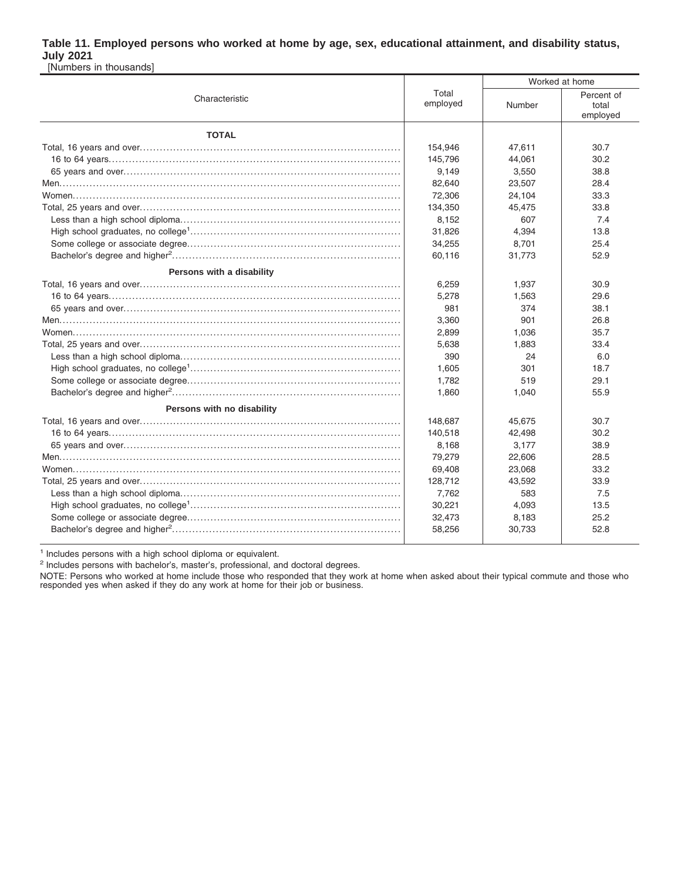#### **Table 11. Employed persons who worked at home by age, sex, educational attainment, and disability status, July 2021** [Numbers in thousands]

|                            |                   | Worked at home |                                 |  |  |
|----------------------------|-------------------|----------------|---------------------------------|--|--|
| Characteristic             | Total<br>employed | Number         | Percent of<br>total<br>employed |  |  |
| <b>TOTAL</b>               |                   |                |                                 |  |  |
|                            | 154,946           | 47,611         | 30.7                            |  |  |
|                            | 145.796           | 44.061         | 30.2                            |  |  |
|                            | 9,149             | 3,550          | 38.8                            |  |  |
|                            | 82,640            | 23,507         | 28.4                            |  |  |
|                            | 72,306            | 24,104         | 33.3                            |  |  |
|                            | 134,350           | 45,475         | 33.8                            |  |  |
|                            | 8,152             | 607            | 7.4                             |  |  |
|                            | 31,826            | 4,394          | 13.8                            |  |  |
|                            | 34,255            | 8,701          | 25.4                            |  |  |
|                            | 60,116            | 31,773         | 52.9                            |  |  |
| Persons with a disability  |                   |                |                                 |  |  |
|                            | 6,259             | 1,937          | 30.9                            |  |  |
|                            | 5,278             | 1,563          | 29.6                            |  |  |
|                            | 981               | 374            | 38.1                            |  |  |
|                            | 3,360             | 901            | 26.8                            |  |  |
|                            | 2,899             | 1,036          | 35.7                            |  |  |
|                            | 5,638             | 1,883          | 33.4                            |  |  |
|                            | 390               | 24             | 6.0                             |  |  |
|                            | 1,605             | 301            | 18.7                            |  |  |
|                            | 1,782             | 519            | 29.1                            |  |  |
|                            | 1,860             | 1,040          | 55.9                            |  |  |
| Persons with no disability |                   |                |                                 |  |  |
|                            | 148,687           | 45,675         | 30.7                            |  |  |
|                            | 140,518           | 42,498         | 30.2                            |  |  |
|                            | 8,168             | 3,177          | 38.9                            |  |  |
|                            | 79,279            | 22,606         | 28.5                            |  |  |
|                            | 69,408            | 23,068         | 33.2                            |  |  |
|                            | 128,712           | 43,592         | 33.9                            |  |  |
|                            | 7,762             | 583            | 7.5                             |  |  |
|                            | 30,221            | 4,093          | 13.5                            |  |  |
|                            | 32,473            | 8,183          | 25.2                            |  |  |
|                            | 58,256            | 30,733         | 52.8                            |  |  |
|                            |                   |                |                                 |  |  |

<sup>1</sup> Includes persons with a high school diploma or equivalent.

<sup>2</sup> Includes persons with bachelor's, master's, professional, and doctoral degrees.

NOTE: Persons who worked at home include those who responded that they work at home when asked about their typical commute and those who responded yes when asked if they do any work at home for their job or business.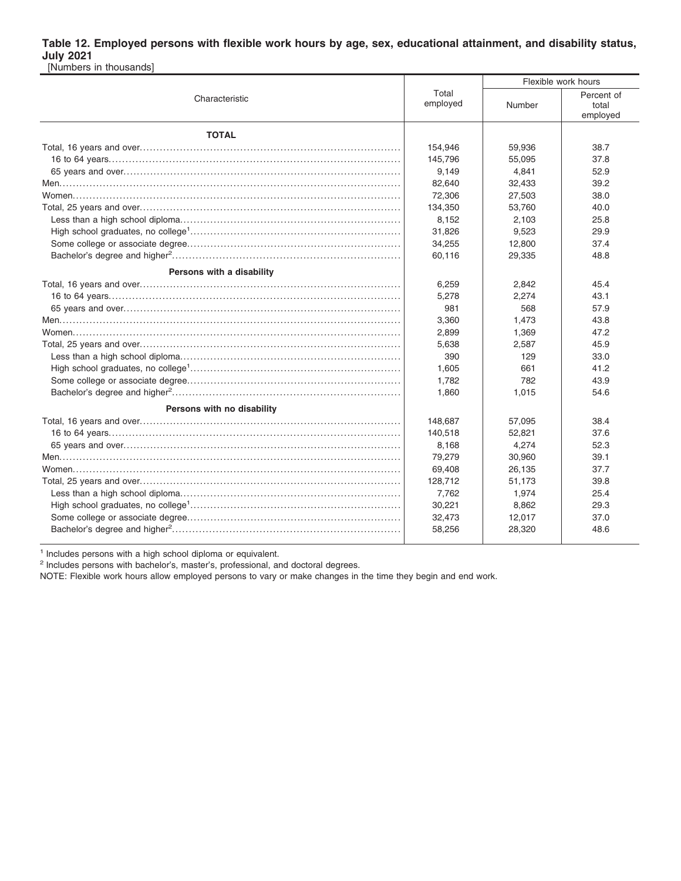#### **Table 12. Employed persons with flexible work hours by age, sex, educational attainment, and disability status, July 2021** [Numbers in thousands]

|                            |                   | Flexible work hours |                                 |  |  |
|----------------------------|-------------------|---------------------|---------------------------------|--|--|
| Characteristic             | Total<br>employed | Number              | Percent of<br>total<br>employed |  |  |
| <b>TOTAL</b>               |                   |                     |                                 |  |  |
|                            | 154,946           | 59,936              | 38.7                            |  |  |
|                            | 145,796           | 55,095              | 37.8                            |  |  |
|                            | 9,149             | 4,841               | 52.9                            |  |  |
|                            | 82,640            | 32,433              | 39.2                            |  |  |
|                            | 72,306            | 27,503              | 38.0                            |  |  |
|                            | 134,350           | 53,760              | 40.0                            |  |  |
|                            | 8,152             | 2,103               | 25.8                            |  |  |
|                            | 31,826            | 9,523               | 29.9                            |  |  |
|                            | 34,255            | 12,800              | 37.4                            |  |  |
|                            | 60,116            | 29,335              | 48.8                            |  |  |
| Persons with a disability  |                   |                     |                                 |  |  |
|                            | 6,259             | 2,842               | 45.4                            |  |  |
|                            | 5,278             | 2,274               | 43.1                            |  |  |
|                            | 981               | 568                 | 57.9                            |  |  |
|                            | 3,360             | 1,473               | 43.8                            |  |  |
|                            | 2,899             | 1,369               | 47.2                            |  |  |
|                            | 5,638             | 2,587               | 45.9                            |  |  |
|                            | 390               | 129                 | 33.0                            |  |  |
|                            | 1,605             | 661                 | 41.2                            |  |  |
|                            | 1,782             | 782                 | 43.9                            |  |  |
|                            | 1,860             | 1,015               | 54.6                            |  |  |
| Persons with no disability |                   |                     |                                 |  |  |
|                            | 148,687           | 57,095              | 38.4                            |  |  |
|                            | 140,518           | 52,821              | 37.6                            |  |  |
|                            | 8,168             | 4,274               | 52.3                            |  |  |
|                            | 79,279            | 30,960              | 39.1                            |  |  |
|                            | 69,408            | 26,135              | 37.7                            |  |  |
|                            | 128,712           | 51,173              | 39.8                            |  |  |
|                            | 7,762             | 1,974               | 25.4                            |  |  |
|                            | 30,221            | 8,862               | 29.3                            |  |  |
|                            | 32,473            | 12,017              | 37.0                            |  |  |
|                            | 58,256            | 28,320              | 48.6                            |  |  |
|                            |                   |                     |                                 |  |  |

<sup>1</sup> Includes persons with a high school diploma or equivalent.

<sup>2</sup> Includes persons with bachelor's, master's, professional, and doctoral degrees.

NOTE: Flexible work hours allow employed persons to vary or make changes in the time they begin and end work.